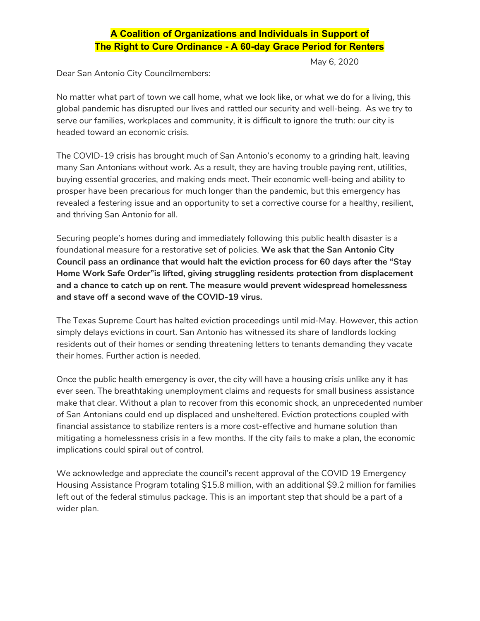## **A Coalition of Organizations and Individuals in Support of The Right to Cure Ordinance - A 60-day Grace Period for Renters**

May 6, 2020

Dear San Antonio City Councilmembers:

No matter what part of town we call home, what we look like, or what we do for a living, this global pandemic has disrupted our lives and rattled our security and well-being. As we try to serve our families, workplaces and community, it is difficult to ignore the truth: our city is headed toward an economic crisis.

The COVID-19 crisis has brought much of San Antonio's economy to a grinding halt, leaving many San Antonians without work. As a result, they are having trouble paying rent, utilities, buying essential groceries, and making ends meet. Their economic well-being and ability to prosper have been precarious for much longer than the pandemic, but this emergency has revealed a festering issue and an opportunity to set a corrective course for a healthy, resilient, and thriving San Antonio for all.

Securing people's homes during and immediately following this public health disaster is a foundational measure for a restorative set of policies. **We ask that the San Antonio City Council pass an ordinance that would halt the eviction process for 60 days after the "Stay Home Work Safe Order"is lifted, giving struggling residents protection from displacement and a chance to catch up on rent. The measure would prevent widespread homelessness and stave off a second wave of the COVID-19 virus.**

The Texas Supreme Court has halted eviction proceedings until mid-May. However, this action simply delays evictions in court. San Antonio has witnessed its share of landlords locking residents out of their homes or sending threatening letters to tenants demanding they vacate their homes. Further action is needed.

Once the public health emergency is over, the city will have a housing crisis unlike any it has ever seen. The breathtaking unemployment claims and requests for small business assistance make that clear. Without a plan to recover from this economic shock, an unprecedented number of San Antonians could end up displaced and unsheltered. Eviction protections coupled with financial assistance to stabilize renters is a more cost-effective and humane solution than mitigating a homelessness crisis in a few months. If the city fails to make a plan, the economic implications could spiral out of control.

We acknowledge and appreciate the council's recent approval of the COVID 19 Emergency Housing Assistance Program totaling \$15.8 million, with an additional \$9.2 million for families left out of the federal stimulus package. This is an important step that should be a part of a wider plan.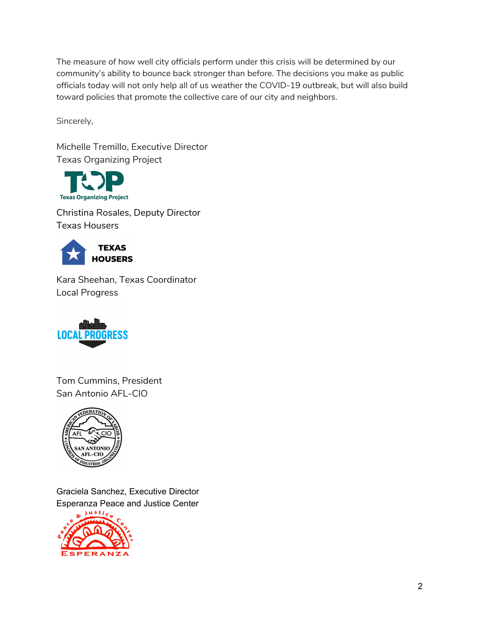The measure of how well city officials perform under this crisis will be determined by our community's ability to bounce back stronger than before. The decisions you make as public officials today will not only help all of us weather the COVID-19 outbreak, but will also build toward policies that promote the collective care of our city and neighbors.

Sincerely,

Michelle Tremillo, Executive Director Texas Organizing Project



[Christina](https://texashousers.net/author/christinalrosales/) Rosales, Deputy Director Texas Housers



Kara Sheehan, Texas Coordinator Local Progress



Tom Cummins, President San Antonio AFL-CIO



Graciela Sanchez, Executive Director Esperanza Peace and Justice Center

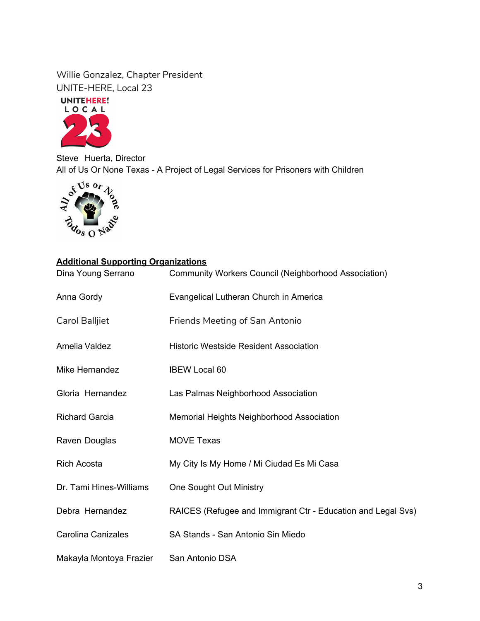Willie Gonzalez, Chapter President UNITE-HERE, Local 23

UNITEHERE!



Steve Huerta, Director All of Us Or None Texas - A Project of Legal Services for Prisoners with Children<br>  $S^{\sqrt{38}}$  Or  $\sqrt{2}$ 



## **Additional Supporting Organizations**

| Dina Young Serrano        | Community Workers Council (Neighborhood Association)         |
|---------------------------|--------------------------------------------------------------|
| Anna Gordy                | Evangelical Lutheran Church in America                       |
| Carol Balljiet            | <b>Friends Meeting of San Antonio</b>                        |
| Amelia Valdez             | <b>Historic Westside Resident Association</b>                |
| Mike Hernandez            | <b>IBEW Local 60</b>                                         |
| Gloria Hernandez          | Las Palmas Neighborhood Association                          |
| <b>Richard Garcia</b>     | Memorial Heights Neighborhood Association                    |
| Raven Douglas             | <b>MOVE Texas</b>                                            |
| <b>Rich Acosta</b>        | My City Is My Home / Mi Ciudad Es Mi Casa                    |
| Dr. Tami Hines-Williams   | <b>One Sought Out Ministry</b>                               |
| Debra Hernandez           | RAICES (Refugee and Immigrant Ctr - Education and Legal Svs) |
| <b>Carolina Canizales</b> | SA Stands - San Antonio Sin Miedo                            |
| Makayla Montoya Frazier   | San Antonio DSA                                              |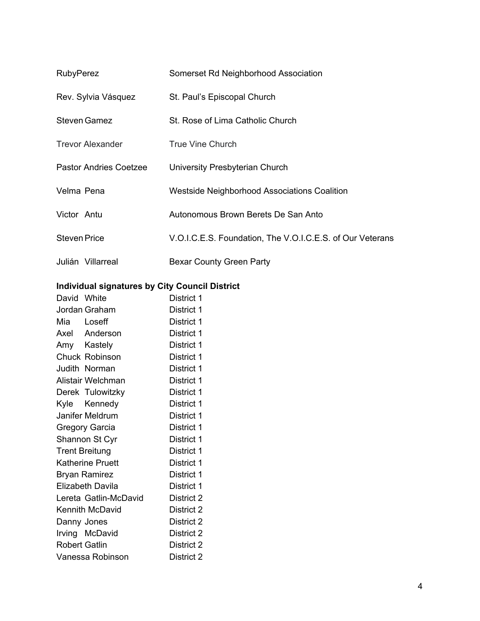| <b>RubyPerez</b>              | Somerset Rd Neighborhood Association                      |
|-------------------------------|-----------------------------------------------------------|
| Rev. Sylvia Vásquez           | St. Paul's Episcopal Church                               |
| <b>Steven Gamez</b>           | St. Rose of Lima Catholic Church                          |
| <b>Trevor Alexander</b>       | <b>True Vine Church</b>                                   |
| <b>Pastor Andries Coetzee</b> | University Presbyterian Church                            |
| Velma Pena                    | <b>Westside Neighborhood Associations Coalition</b>       |
| Victor Antu                   | Autonomous Brown Berets De San Anto                       |
| <b>Steven Price</b>           | V.O.I.C.E.S. Foundation, The V.O.I.C.E.S. of Our Veterans |
| Julián Villarreal             | Bexar County Green Party                                  |

## **Individual signatures by City Council District**

| David White          |                         | District 1 |
|----------------------|-------------------------|------------|
|                      | Jordan Graham           | District 1 |
| Mia Loseff           |                         | District 1 |
|                      | Axel Anderson           | District 1 |
|                      | Amy Kastely             | District 1 |
|                      | <b>Chuck Robinson</b>   | District 1 |
|                      | Judith Norman           | District 1 |
|                      | Alistair Welchman       | District 1 |
|                      | Derek Tulowitzky        | District 1 |
|                      | Kyle Kennedy            | District 1 |
|                      | Janifer Meldrum         | District 1 |
|                      | <b>Gregory Garcia</b>   | District 1 |
|                      | Shannon St Cyr          | District 1 |
|                      | <b>Trent Breitung</b>   | District 1 |
|                      | <b>Katherine Pruett</b> | District 1 |
|                      | <b>Bryan Ramirez</b>    | District 1 |
|                      | <b>Elizabeth Davila</b> | District 1 |
|                      | Lereta Gatlin-McDavid   | District 2 |
|                      | Kennith McDavid         | District 2 |
| Danny Jones          |                         | District 2 |
|                      | Irving McDavid          | District 2 |
| <b>Robert Gatlin</b> |                         | District 2 |
|                      | Vanessa Robinson        | District 2 |
|                      |                         |            |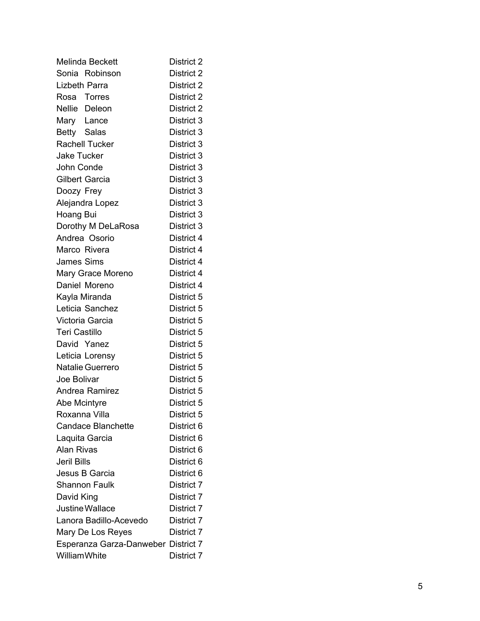| Melinda Beckett                     | District 2 |
|-------------------------------------|------------|
| Sonia Robinson                      | District 2 |
| Lizbeth Parra                       | District 2 |
| Rosa Torres                         | District 2 |
| Nellie Deleon                       | District 2 |
| Mary Lance                          | District 3 |
| Betty Salas                         | District 3 |
| <b>Rachell Tucker</b>               | District 3 |
| Jake Tucker                         | District 3 |
| John Conde                          | District 3 |
| <b>Gilbert Garcia</b>               | District 3 |
| Doozy Frey                          | District 3 |
| Alejandra Lopez                     | District 3 |
| Hoang Bui                           | District 3 |
| Dorothy M DeLaRosa                  | District 3 |
| Andrea Osorio                       | District 4 |
| Marco Rivera                        | District 4 |
| <b>James Sims</b>                   | District 4 |
| Mary Grace Moreno                   | District 4 |
| Daniel Moreno                       | District 4 |
| Kayla Miranda                       | District 5 |
| Leticia Sanchez                     | District 5 |
| Victoria Garcia                     | District 5 |
| <b>Teri Castillo</b>                | District 5 |
| David Yanez                         | District 5 |
| Leticia Lorensy                     | District 5 |
| <b>Natalie Guerrero</b>             | District 5 |
| Joe Bolivar                         | District 5 |
| Andrea Ramirez                      | District 5 |
| Abe Mcintyre                        | District 5 |
| Roxanna Villa                       | District 5 |
| <b>Candace Blanchette</b>           | District 6 |
| Laquita Garcia                      | District 6 |
| <b>Alan Rivas</b>                   | District 6 |
| Jeril Bills                         | District 6 |
| Jesus B Garcia                      | District 6 |
| Shannon Faulk                       | District 7 |
| David King                          | District 7 |
| Justine Wallace                     | District 7 |
| Lanora Badillo-Acevedo              | District 7 |
| Mary De Los Reyes                   | District 7 |
| Esperanza Garza-Danweber District 7 |            |
| <b>WilliamWhite</b>                 | District 7 |